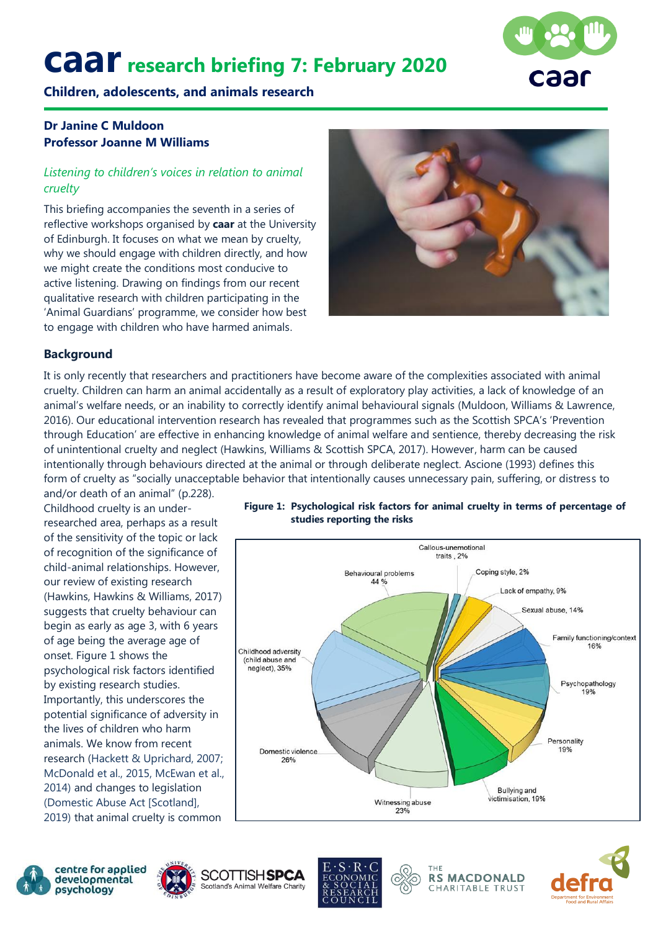# **caarresearch briefing 7: February <sup>2020</sup>**



**Children, adolescents, and animals research**

## **Dr Janine C Muldoon Professor Joanne M Williams**

### *Listening to children's voices in relation to animal cruelty*

This briefing accompanies the seventh in a series of reflective workshops organised by **caar** at the University of Edinburgh. It focuses on what we mean by cruelty, why we should engage with children directly, and how we might create the conditions most conducive to active listening. Drawing on findings from our recent qualitative research with children participating in the 'Animal Guardians' programme, we consider how best to engage with children who have harmed animals.



### **Background**

It is only recently that researchers and practitioners have become aware of the complexities associated with animal cruelty. Children can harm an animal accidentally as a result of exploratory play activities, a lack of knowledge of an animal's welfare needs, or an inability to correctly identify animal behavioural signals (Muldoon, Williams & Lawrence, 2016). Our educational intervention research has revealed that programmes such as the Scottish SPCA's 'Prevention through Education' are effective in enhancing knowledge of animal welfare and sentience, thereby decreasing the risk of unintentional cruelty and neglect (Hawkins, Williams & Scottish SPCA, 2017). However, harm can be caused intentionally through behaviours directed at the animal or through deliberate neglect. Ascione (1993) defines this form of cruelty as "socially unacceptable behavior that intentionally causes unnecessary pain, suffering, or distress to

and/or death of an animal" (p.228). Childhood cruelty is an underresearched area, perhaps as a result of the sensitivity of the topic or lack of recognition of the significance of child-animal relationships. However, our review of existing research (Hawkins, Hawkins & Williams, 2017) suggests that cruelty behaviour can begin as early as age 3, with 6 years of age being the average age of onset. Figure 1 shows the psychological risk factors identified by existing research studies. Importantly, this underscores the potential significance of adversity in the lives of children who harm animals. We know from recent research (Hackett & Uprichard, 2007; McDonald et al., 2015, McEwan et al., 2014) and changes to legislation (Domestic Abuse Act [Scotland], 2019) that animal cruelty is common

### **Figure 1: Psychological risk factors for animal cruelty in terms of percentage of studies reporting the risks**













**RS MACDONALD** CHARITABLE TRUST

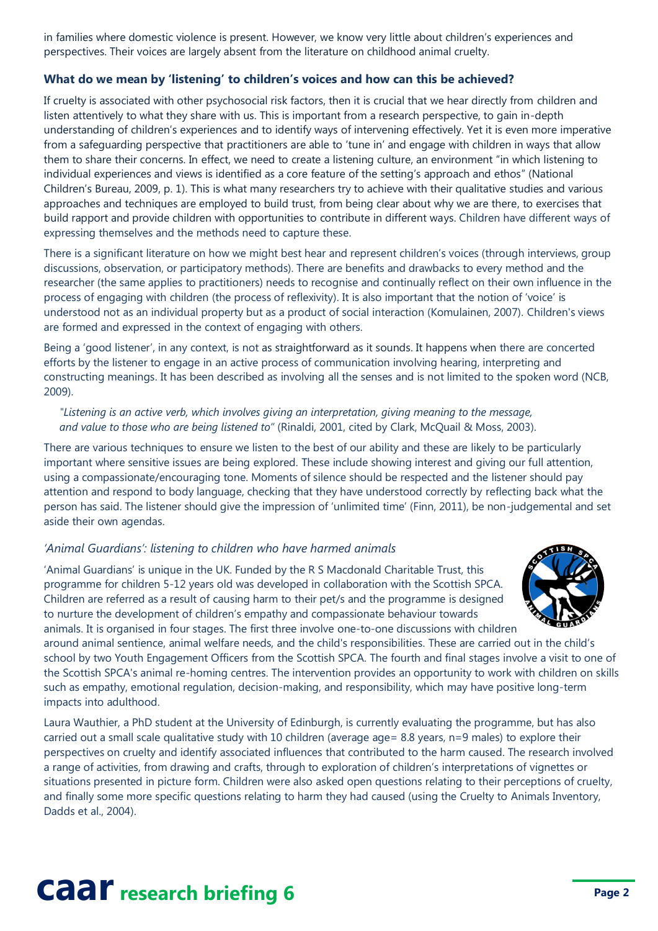in families where domestic violence is present. However, we know very little about children's experiences and perspectives. Their voices are largely absent from the literature on childhood animal cruelty.

### **What do we mean by 'listening' to children's voices and how can this be achieved?**

If cruelty is associated with other psychosocial risk factors, then it is crucial that we hear directly from children and listen attentively to what they share with us. This is important from a research perspective, to gain in-depth understanding of children's experiences and to identify ways of intervening effectively. Yet it is even more imperative from a safeguarding perspective that practitioners are able to 'tune in' and engage with children in ways that allow them to share their concerns. In effect, we need to create a listening culture, an environment "in which listening to individual experiences and views is identified as a core feature of the setting's approach and ethos" (National Children's Bureau, 2009, p. 1). This is what many researchers try to achieve with their qualitative studies and various approaches and techniques are employed to build trust, from being clear about why we are there, to exercises that build rapport and provide children with opportunities to contribute in different ways. Children have different ways of expressing themselves and the methods need to capture these.

There is a significant literature on how we might best hear and represent children's voices (through interviews, group discussions, observation, or participatory methods). There are benefits and drawbacks to every method and the researcher (the same applies to practitioners) needs to recognise and continually reflect on their own influence in the process of engaging with children (the process of reflexivity). It is also important that the notion of 'voice' is understood not as an individual property but as a product of social interaction (Komulainen, 2007). Children's views are formed and expressed in the context of engaging with others.

Being a 'good listener', in any context, is not as straightforward as it sounds. It happens when there are concerted efforts by the listener to engage in an active process of communication involving hearing, interpreting and constructing meanings. It has been described as involving all the senses and is not limited to the spoken word (NCB, 2009).

### *"Listening is an active verb, which involves giving an interpretation, giving meaning to the message, and value to those who are being listened to"* (Rinaldi, 2001, cited by Clark, McQuail & Moss, 2003).

There are various techniques to ensure we listen to the best of our ability and these are likely to be particularly important where sensitive issues are being explored. These include showing interest and giving our full attention, using a compassionate/encouraging tone. Moments of silence should be respected and the listener should pay attention and respond to body language, checking that they have understood correctly by reflecting back what the person has said. The listener should give the impression of 'unlimited time' (Finn, 2011), be non-judgemental and set aside their own agendas.

### *'Animal Guardians': listening to children who have harmed animals*

'Animal Guardians' is unique in the UK. Funded by the R S Macdonald Charitable Trust, this programme for children 5-12 years old was developed in collaboration with the Scottish SPCA. Children are referred as a result of causing harm to their pet/s and the programme is designed to nurture the development of children's empathy and compassionate behaviour towards animals. It is organised in four stages. The first three involve one-to-one discussions with children



around animal sentience, animal welfare needs, and the child's responsibilities. These are carried out in the child's school by two Youth Engagement Officers from the Scottish SPCA. The fourth and final stages involve a visit to one of the Scottish SPCA's animal re-homing centres. The intervention provides an opportunity to work with children on skills such as empathy, emotional regulation, decision-making, and responsibility, which may have positive long-term impacts into adulthood.

Laura Wauthier, a PhD student at the University of Edinburgh, is currently evaluating the programme, but has also carried out a small scale qualitative study with 10 children (average age= 8.8 years, n=9 males) to explore their perspectives on cruelty and identify associated influences that contributed to the harm caused. The research involved a range of activities, from drawing and crafts, through to exploration of children's interpretations of vignettes or situations presented in picture form. Children were also asked open questions relating to their perceptions of cruelty, and finally some more specific questions relating to harm they had caused (using the Cruelty to Animals Inventory, Dadds et al., 2004).

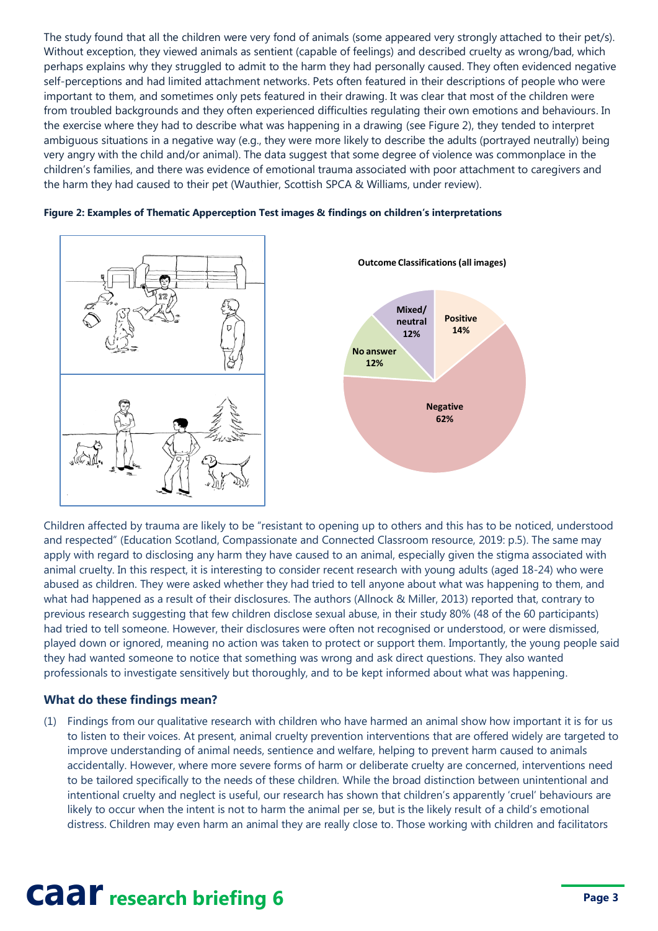The study found that all the children were very fond of animals (some appeared very strongly attached to their pet/s). Without exception, they viewed animals as sentient (capable of feelings) and described cruelty as wrong/bad, which perhaps explains why they struggled to admit to the harm they had personally caused. They often evidenced negative self-perceptions and had limited attachment networks. Pets often featured in their descriptions of people who were important to them, and sometimes only pets featured in their drawing. It was clear that most of the children were from troubled backgrounds and they often experienced difficulties regulating their own emotions and behaviours. In the exercise where they had to describe what was happening in a drawing (see Figure 2), they tended to interpret ambiguous situations in a negative way (e.g., they were more likely to describe the adults (portrayed neutrally) being very angry with the child and/or animal). The data suggest that some degree of violence was commonplace in the children's families, and there was evidence of emotional trauma associated with poor attachment to caregivers and the harm they had caused to their pet (Wauthier, Scottish SPCA & Williams, under review).





Children affected by trauma are likely to be "resistant to opening up to others and this has to be noticed, understood and respected" (Education Scotland, Compassionate and Connected Classroom resource, 2019: p.5). The same may apply with regard to disclosing any harm they have caused to an animal, especially given the stigma associated with animal cruelty. In this respect, it is interesting to consider recent research with young adults (aged 18-24) who were abused as children. They were asked whether they had tried to tell anyone about what was happening to them, and what had happened as a result of their disclosures. The authors (Allnock & Miller, 2013) reported that, contrary to previous research suggesting that few children disclose sexual abuse, in their study 80% (48 of the 60 participants) had tried to tell someone. However, their disclosures were often not recognised or understood, or were dismissed, played down or ignored, meaning no action was taken to protect or support them. Importantly, the young people said they had wanted someone to notice that something was wrong and ask direct questions. They also wanted professionals to investigate sensitively but thoroughly, and to be kept informed about what was happening.

#### **What do these findings mean?**

(1) Findings from our qualitative research with children who have harmed an animal show how important it is for us to listen to their voices. At present, animal cruelty prevention interventions that are offered widely are targeted to improve understanding of animal needs, sentience and welfare, helping to prevent harm caused to animals accidentally. However, where more severe forms of harm or deliberate cruelty are concerned, interventions need to be tailored specifically to the needs of these children. While the broad distinction between unintentional and intentional cruelty and neglect is useful, our research has shown that children's apparently 'cruel' behaviours are likely to occur when the intent is not to harm the animal per se, but is the likely result of a child's emotional distress. Children may even harm an animal they are really close to. Those working with children and facilitators

# **caar research briefing 6 Page 3**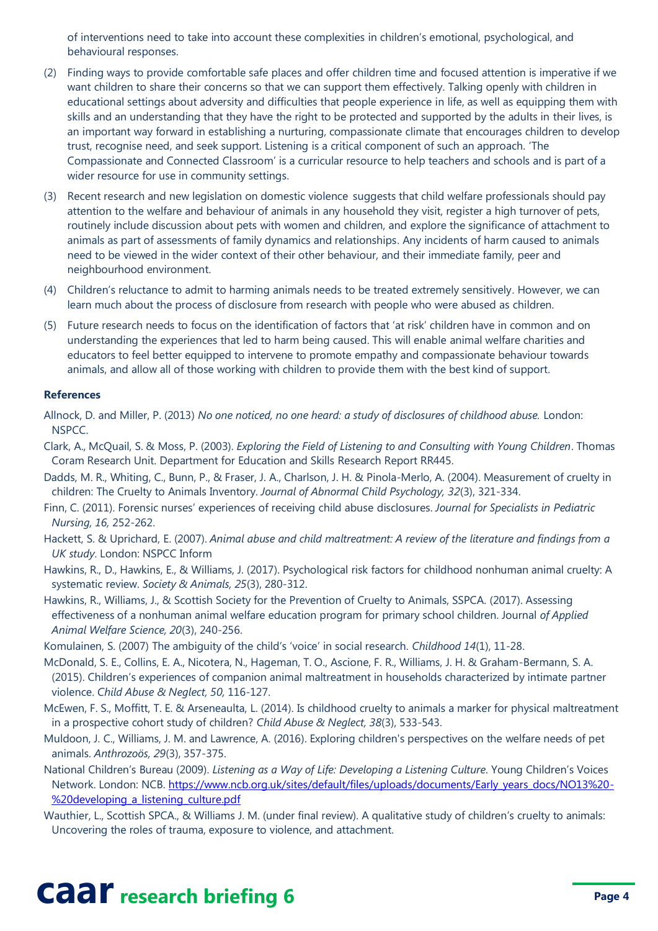of interventions need to take into account these complexities in children's emotional, psychological, and behavioural responses.

- (2) Finding ways to provide comfortable safe places and offer children time and focused attention is imperative if we want children to share their concerns so that we can support them effectively. Talking openly with children in educational settings about adversity and difficulties that people experience in life, as well as equipping them with skills and an understanding that they have the right to be protected and supported by the adults in their lives, is an important way forward in establishing a nurturing, compassionate climate that encourages children to develop trust, recognise need, and seek support. Listening is a critical component of such an approach. 'The Compassionate and Connected Classroom' is a curricular resource to help teachers and schools and is part of a wider resource for use in community settings.
- (3) Recent research and new legislation on domestic violence suggests that child welfare professionals should pay attention to the welfare and behaviour of animals in any household they visit, register a high turnover of pets, routinely include discussion about pets with women and children, and explore the significance of attachment to animals as part of assessments of family dynamics and relationships. Any incidents of harm caused to animals need to be viewed in the wider context of their other behaviour, and their immediate family, peer and neighbourhood environment.
- (4) Children's reluctance to admit to harming animals needs to be treated extremely sensitively. However, we can learn much about the process of disclosure from research with people who were abused as children.
- (5) Future research needs to focus on the identification of factors that 'at risk' children have in common and on understanding the experiences that led to harm being caused. This will enable animal welfare charities and educators to feel better equipped to intervene to promote empathy and compassionate behaviour towards animals, and allow all of those working with children to provide them with the best kind of support.

### **References**

Allnock, D. and Miller, P. (2013) *No one noticed, no one heard: a study of disclosures of childhood abuse.* London: NSPCC.

- Clark, A., McQuail, S. & Moss, P. (2003). *Exploring the Field of Listening to and Consulting with Young Children*. Thomas Coram Research Unit. Department for Education and Skills Research Report RR445.
- Dadds, M. R., Whiting, C., Bunn, P., & Fraser, J. A., Charlson, J. H. & Pinola-Merlo, A. (2004). Measurement of cruelty in children: The Cruelty to Animals Inventory. *Journal of Abnormal Child Psychology, 32*(3), 321-334.
- Finn, C. (2011). Forensic nurses' experiences of receiving child abuse disclosures. *Journal for Specialists in Pediatric Nursing, 16,* 252-262.
- Hackett, S. & Uprichard, E. (2007). *Animal abuse and child maltreatment: A review of the literature and findings from a UK study*. London: NSPCC Inform
- Hawkins, R., D., Hawkins, E., & Williams, J. (2017). Psychological risk factors for childhood nonhuman animal cruelty: A systematic review. *Society & Animals, 25*(3), 280-312.
- Hawkins, R., Williams, J., & Scottish Society for the Prevention of Cruelty to Animals, SSPCA. (2017). Assessing effectiveness of a nonhuman animal welfare education program for primary school children. Journal *of Applied Animal Welfare Science, 20*(3), 240-256.
- Komulainen, S. (2007) The ambiguity of the child's 'voice' in social research. *Childhood 14*(1), 11-28.
- McDonald, S. E., Collins, E. A., Nicotera, N., Hageman, T. O., Ascione, F. R., Williams, J. H. & Graham-Bermann, S. A. (2015). Children's experiences of companion animal maltreatment in households characterized by intimate partner violence. *Child Abuse & Neglect, 50,* 116-127.
- McEwen, F. S., Moffitt, T. E. & Arseneaulta, L. (2014). Is childhood cruelty to animals a marker for physical maltreatment in a prospective cohort study of children? *Child Abuse & Neglect, 38*(3), 533-543.
- Muldoon, J. C., Williams, J. M. and Lawrence, A. (2016). Exploring children's perspectives on the welfare needs of pet animals. *Anthrozoös, 29*(3), 357-375.
- National Children's Bureau (2009). *Listening as a Way of Life: Developing a Listening Culture*. Young Children's Voices Network. London: NCB. [https://www.ncb.org.uk/sites/default/files/uploads/documents/Early\\_years\\_docs/NO13%20-](https://www.ncb.org.uk/sites/default/files/uploads/documents/Early_years_docs/NO13%20-%20developing_a_listening_culture.pdf) [%20developing\\_a\\_listening\\_culture.pdf](https://www.ncb.org.uk/sites/default/files/uploads/documents/Early_years_docs/NO13%20-%20developing_a_listening_culture.pdf)
- Wauthier, L., Scottish SPCA., & Williams J. M. (under final review). A qualitative study of children's cruelty to animals: Uncovering the roles of trauma, exposure to violence, and attachment.

# **caar** research briefing 6 **Page 4 Page 4**